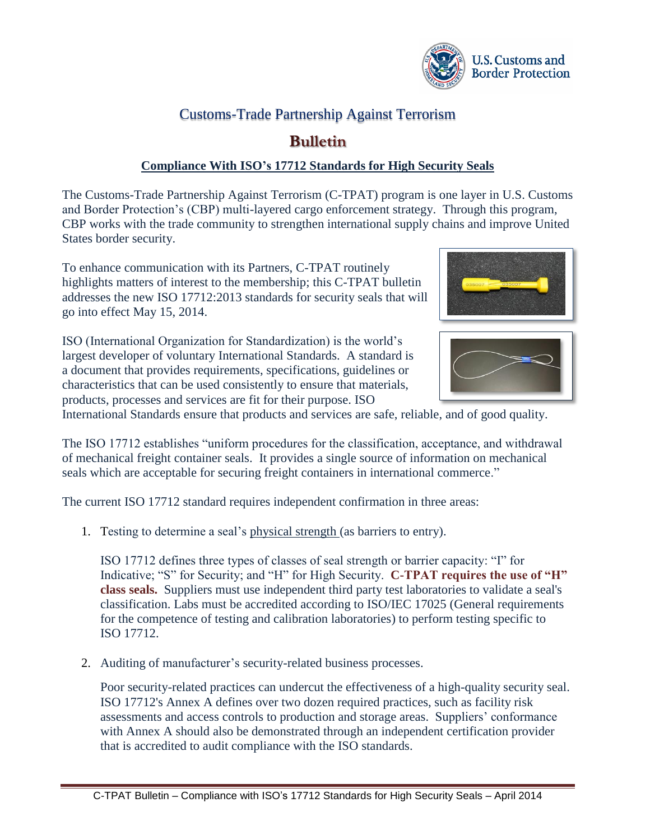

## Customs-Trade Partnership Against Terrorism

## **Bulletin**

## **Compliance With ISO's 17712 Standards for High Security Seals**

The Customs-Trade Partnership Against Terrorism (C-TPAT) program is one layer in U.S. Customs and Border Protection's (CBP) multi-layered cargo enforcement strategy. Through this program, CBP works with the trade community to strengthen international supply chains and improve United States border security.

To enhance communication with its Partners, C-TPAT routinely highlights matters of interest to the membership; this C-TPAT bulletin addresses the new ISO 17712:2013 standards for security seals that will go into effect May 15, 2014.

ISO (International Organization for Standardization) is the world's largest developer of voluntary International Standards. A standard is a document that provides requirements, specifications, guidelines or characteristics that can be used consistently to ensure that materials, products, processes and services are fit for their purpose. ISO



International Standards ensure that products and services are safe, reliable, and of good quality.

The ISO 17712 establishes "uniform procedures for the classification, acceptance, and withdrawal of mechanical freight container seals. It provides a single source of information on mechanical seals which are acceptable for securing freight containers in international commerce."

The current ISO 17712 standard requires independent confirmation in three areas:

1. Testing to determine a seal's physical strength (as barriers to entry).

ISO 17712 defines three types of classes of seal strength or barrier capacity: "I" for Indicative; "S" for Security; and "H" for High Security. **C-TPAT requires the use of "H" class seals.** Suppliers must use independent third party test laboratories to validate a seal's classification. Labs must be accredited according to ISO/IEC 17025 (General requirements for the competence of testing and calibration laboratories) to perform testing specific to ISO 17712.

2. Auditing of manufacturer's security-related business processes.

Poor security-related practices can undercut the effectiveness of a high-quality security seal. ISO 17712's Annex A defines over two dozen required practices, such as facility risk assessments and access controls to production and storage areas. Suppliers' conformance with Annex A should also be demonstrated through an independent certification provider that is accredited to audit compliance with the ISO standards.